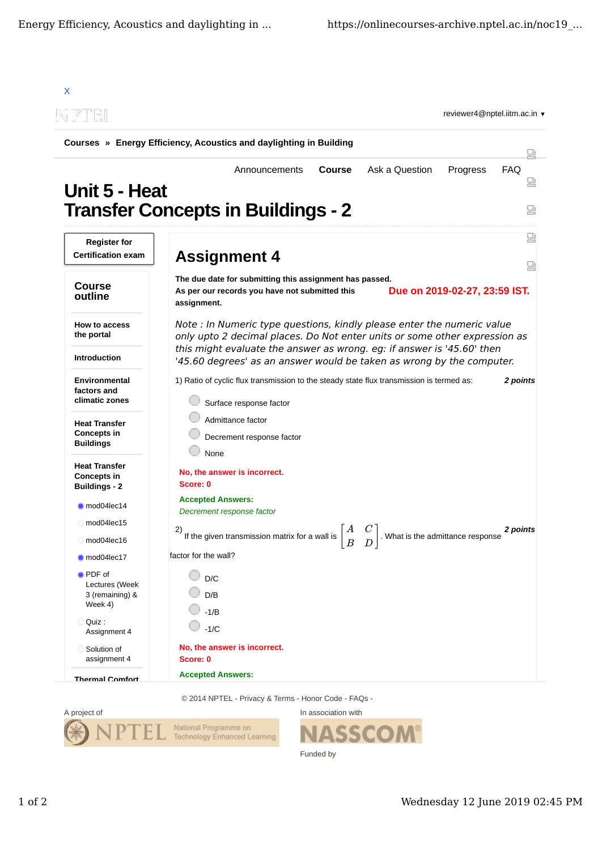| Courses » Energy Efficiency, Acoustics and daylighting in Building                                  |                                                                                                                                                                       |                 |
|-----------------------------------------------------------------------------------------------------|-----------------------------------------------------------------------------------------------------------------------------------------------------------------------|-----------------|
| Unit 5 - Heat                                                                                       | <b>Course</b><br>Ask a Question<br>Progress<br>Announcements<br><b>Transfer Concepts in Buildings - 2</b>                                                             | <b>FAQ</b><br>덣 |
|                                                                                                     |                                                                                                                                                                       |                 |
| <b>Register for</b><br><b>Certification exam</b>                                                    | <b>Assignment 4</b>                                                                                                                                                   | ₩<br>눲          |
| <b>Course</b><br>outline                                                                            | The due date for submitting this assignment has passed.<br>Due on 2019-02-27, 23:59 IST.<br>As per our records you have not submitted this<br>assignment.             |                 |
| How to access<br>the portal                                                                         | Note : In Numeric type questions, kindly please enter the numeric value<br>only upto 2 decimal places. Do Not enter units or some other expression as                 |                 |
| <b>Introduction</b>                                                                                 | this might evaluate the answer as wrong. eg: if answer is '45.60' then<br>'45.60 degrees' as an answer would be taken as wrong by the computer.                       |                 |
| <b>Environmental</b><br>factors and<br>climatic zones<br><b>Heat Transfer</b><br><b>Concepts in</b> | 1) Ratio of cyclic flux transmission to the steady state flux transmission is termed as:<br>Surface response factor<br>Admittance factor<br>Decrement response factor | 2 points        |
| <b>Buildings</b><br><b>Heat Transfer</b><br><b>Concepts in</b><br><b>Buildings - 2</b>              | None<br>No, the answer is incorrect.<br>Score: 0                                                                                                                      |                 |
| mod04lec14                                                                                          | <b>Accepted Answers:</b><br>Decrement response factor                                                                                                                 |                 |
| mod04lec15                                                                                          | $\begin{bmatrix} A & C \end{bmatrix}$<br>2)                                                                                                                           | 2 points        |
| mod04lec16                                                                                          | . What is the admittance response<br>If the given transmission matrix for a wall is<br>$\boldsymbol{B}$<br>D                                                          |                 |
| mod04lec17                                                                                          | factor for the wall?                                                                                                                                                  |                 |
| <b>PDF</b> of<br>Lectures (Week<br>3 (remaining) &<br>Week 4)                                       | D/C<br>D/B<br>$-1/B$                                                                                                                                                  |                 |
| Quiz:<br>Assignment 4                                                                               | $-1/C$                                                                                                                                                                |                 |
|                                                                                                     |                                                                                                                                                                       |                 |

© 2014 NPTEL - Privacy & Terms - Honor Code - FAQs -